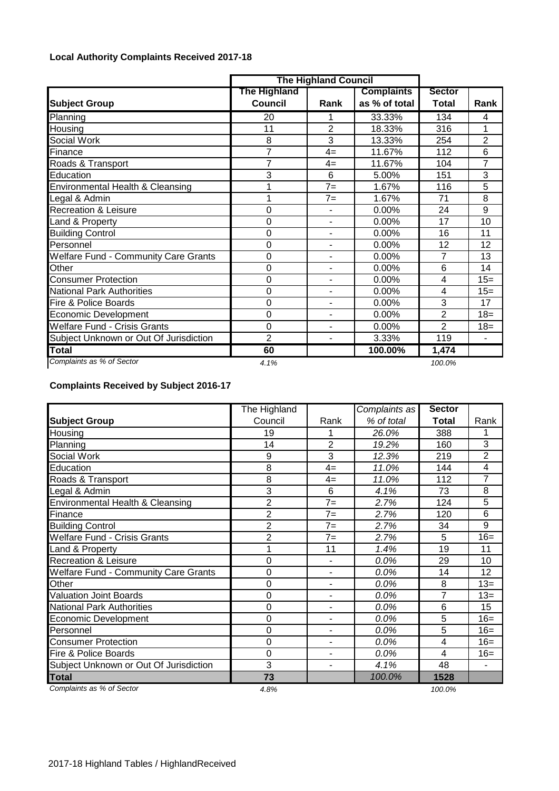## **Local Authority Complaints Received 2017-18**

|                                             |                                | <b>The Highland Council</b> |                                    |                        |                |
|---------------------------------------------|--------------------------------|-----------------------------|------------------------------------|------------------------|----------------|
| <b>Subject Group</b>                        | The Highland<br><b>Council</b> | Rank                        | <b>Complaints</b><br>as % of total | <b>Sector</b><br>Total | Rank           |
| Planning                                    | 20                             |                             | 33.33%                             | 134                    | 4              |
| Housing                                     | 11                             | $\overline{2}$              | 18.33%                             | 316                    | 1              |
| <b>Social Work</b>                          | 8                              | 3                           | 13.33%                             | 254                    | $\overline{2}$ |
| Finance                                     | $\overline{7}$                 | $4=$                        | 11.67%                             | 112                    | 6              |
| Roads & Transport                           | $\overline{7}$                 | $4=$                        | 11.67%                             | 104                    | 7              |
| Education                                   | 3                              | 6                           | 5.00%                              | 151                    | 3              |
| Environmental Health & Cleansing            | 1                              | $7=$                        | 1.67%                              | 116                    | 5              |
| Legal & Admin                               | 1                              | $7 =$                       | 1.67%                              | 71                     | 8              |
| <b>Recreation &amp; Leisure</b>             | 0                              |                             | 0.00%                              | 24                     | 9              |
| Land & Property                             | 0                              | $\blacksquare$              | 0.00%                              | 17                     | 10             |
| <b>Building Control</b>                     | 0                              | $\blacksquare$              | 0.00%                              | 16                     | 11             |
| Personnel                                   | 0                              | $\blacksquare$              | 0.00%                              | 12                     | 12             |
| <b>Welfare Fund - Community Care Grants</b> | 0                              | $\blacksquare$              | 0.00%                              | 7                      | 13             |
| Other                                       | 0                              |                             | 0.00%                              | 6                      | 14             |
| <b>Consumer Protection</b>                  | 0                              | $\blacksquare$              | 0.00%                              | 4                      | $15=$          |
| <b>National Park Authorities</b>            | 0                              | $\overline{\phantom{a}}$    | 0.00%                              | 4                      | $15 =$         |
| Fire & Police Boards                        | 0                              | $\blacksquare$              | 0.00%                              | 3                      | 17             |
| <b>Economic Development</b>                 | 0                              | $\blacksquare$              | 0.00%                              | 2                      | $18 =$         |
| <b>Welfare Fund - Crisis Grants</b>         | 0                              | $\blacksquare$              | 0.00%                              | $\overline{2}$         | $18=$          |
| Subject Unknown or Out Of Jurisdiction      | $\overline{2}$                 | $\blacksquare$              | 3.33%                              | 119                    | $\blacksquare$ |
| Total                                       | 60                             |                             | 100.00%                            | 1,474                  |                |
| Complaints as % of Sector                   | 4.1%                           |                             |                                    | 100.0%                 |                |

## **Complaints Received by Subject 2016-17**

|                                             | The Highland   |                          | Complaints as | <b>Sector</b> |                |
|---------------------------------------------|----------------|--------------------------|---------------|---------------|----------------|
| <b>Subject Group</b>                        | Council        | Rank                     | % of total    | <b>Total</b>  | Rank           |
| Housing                                     | 19             | 1                        | 26.0%         | 388           |                |
| Planning                                    | 14             | $\overline{2}$           | 19.2%         | 160           | $\overline{3}$ |
| Social Work                                 | 9              | 3                        | 12.3%         | 219           | $\overline{2}$ |
| Education                                   | 8              | $4=$                     | 11.0%         | 144           | 4              |
| Roads & Transport                           | 8              | $4=$                     | 11.0%         | 112           | $\overline{7}$ |
| Legal & Admin                               | 3              | 6                        | 4.1%          | 73            | 8              |
| Environmental Health & Cleansing            | 2              | $7=$                     | 2.7%          | 124           | $\overline{5}$ |
| Finance                                     | $\overline{2}$ | $7=$                     | 2.7%          | 120           | 6              |
| <b>Building Control</b>                     | $\overline{2}$ | $7 =$                    | 2.7%          | 34            | 9              |
| <b>Welfare Fund - Crisis Grants</b>         | $\overline{2}$ | $7=$                     | 2.7%          | 5             | $16=$          |
| Land & Property                             | 1              | 11                       | 1.4%          | 19            | 11             |
| <b>Recreation &amp; Leisure</b>             | 0              | $\overline{a}$           | 0.0%          | 29            | 10             |
| <b>Welfare Fund - Community Care Grants</b> | $\mathbf 0$    | $\overline{\phantom{a}}$ | 0.0%          | 14            | 12             |
| Other                                       | $\Omega$       | L.                       | 0.0%          | 8             | $13=$          |
| <b>Valuation Joint Boards</b>               | $\mathbf 0$    | $\frac{1}{2}$            | 0.0%          | 7             | $13=$          |
| <b>National Park Authorities</b>            | $\mathbf 0$    | $\overline{\phantom{a}}$ | 0.0%          | 6             | 15             |
| Economic Development                        | $\overline{0}$ | $\blacksquare$           | 0.0%          | 5             | $16=$          |
| Personnel                                   | $\Omega$       | $\blacksquare$           | 0.0%          | 5             | $16=$          |
| <b>Consumer Protection</b>                  | $\overline{0}$ | $\blacksquare$           | 0.0%          | 4             | $16=$          |
| Fire & Police Boards                        | $\Omega$       | $\blacksquare$           | 0.0%          | 4             | $16=$          |
| Subject Unknown or Out Of Jurisdiction      | $\overline{3}$ | $\blacksquare$           | 4.1%          | 48            | ۰              |
| <b>Total</b>                                | 73             |                          | 100.0%        | 1528          |                |
| Complaints as % of Sector                   | 4.8%           |                          |               | 100.0%        |                |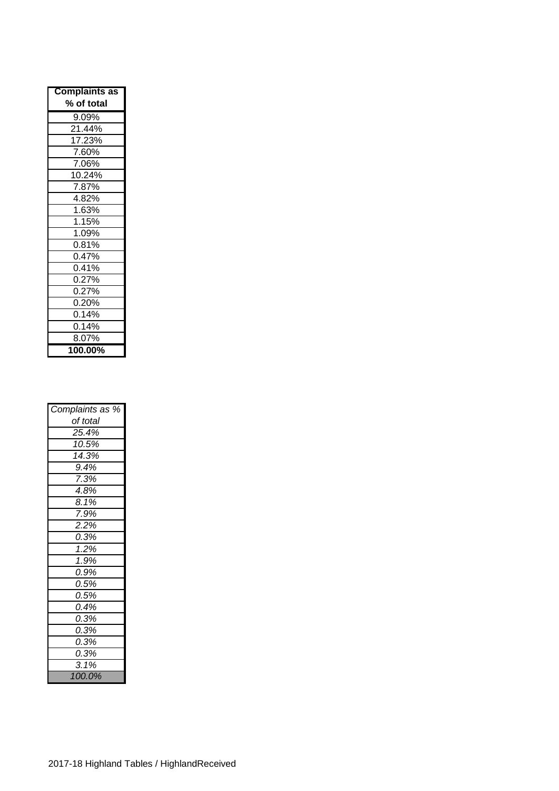| <b>Complaints as</b> |
|----------------------|
| % of total           |
| 9.09%                |
| 21.44%               |
| 17.23%               |
| 7.60%                |
| 7.06%                |
| 10.24%               |
| 7.87%                |
| 4.82%                |
| 1.63%                |
| 1.15%                |
| 1.09%                |
| 0.81%                |
| 0.47%                |
| 0.41%                |
| 0.27%                |
| 0.27%                |
| 0.20%                |
| 0.14%                |
| 0.14%                |
| 8.07%                |
| 100.00%              |

| Complaints as % |
|-----------------|
| of total        |
| 25.4%           |
| 10.5%           |
| 14.3%           |
| 9.4%            |
| 7.3%            |
| 4.8%            |
| 8.1%            |
| 7.9%            |
| 2.2%            |
| 0.3%            |
| 1.2%            |
| 1.9%            |
| 0.9%            |
| 0.5%            |
| 0.5%            |
| 0.4%            |
| 0.3%            |
| 0.3%            |
| 0.3%            |
| 0.3%            |
| 3.1%            |
| 100.0%          |